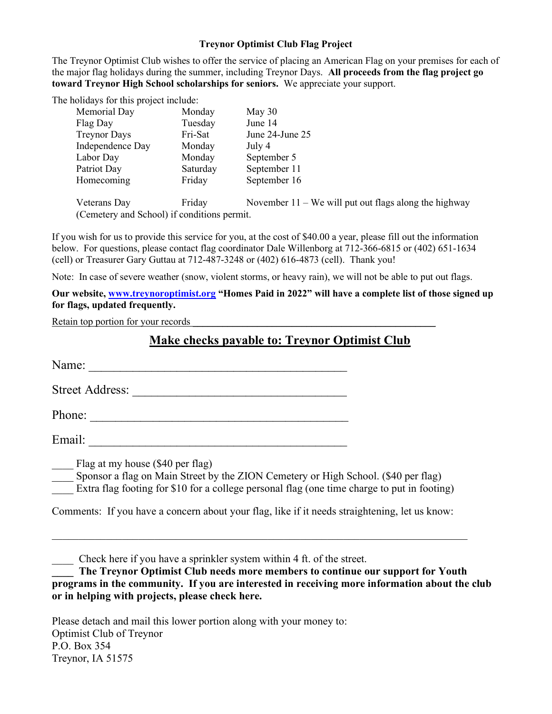#### Treynor Optimist Club Flag Project

The Treynor Optimist Club wishes to offer the service of placing an American Flag on your premises for each of the major flag holidays during the summer, including Treynor Days. All proceeds from the flag project go toward Treynor High School scholarships for seniors. We appreciate your support.

The holidays for this project include:

| Memorial Day                                | Monday   | May $30$                                                |
|---------------------------------------------|----------|---------------------------------------------------------|
| Flag Day                                    | Tuesday  | June 14                                                 |
| <b>Treynor Days</b>                         | Fri-Sat  | June 24-June 25                                         |
| Independence Day                            | Monday   | July 4                                                  |
| Labor Day                                   | Monday   | September 5                                             |
| Patriot Day                                 | Saturday | September 11                                            |
| Homecoming                                  | Friday   | September 16                                            |
| Veterans Day                                | Friday   | November $11 -$ We will put out flags along the highway |
| (Cemetery and School) if conditions permit. |          |                                                         |

If you wish for us to provide this service for you, at the cost of \$40.00 a year, please fill out the information below. For questions, please contact flag coordinator Dale Willenborg at 712-366-6815 or (402) 651-1634 (cell) or Treasurer Gary Guttau at 712-487-3248 or (402) 616-4873 (cell). Thank you!

Note: In case of severe weather (snow, violent storms, or heavy rain), we will not be able to put out flags.

### Our website, www.treynoroptimist.org "Homes Paid in 2022" will have a complete list of those signed up for flags, updated frequently.

Retain top portion for your records

## Make checks payable to: Treynor Optimist Club

Name:

Street Address: \_\_\_\_\_\_\_\_\_\_\_\_\_\_\_\_\_\_\_\_\_\_\_\_\_\_\_\_\_\_\_\_\_\_

Phone: \_\_\_\_\_\_\_\_\_\_\_\_\_\_\_\_\_\_\_\_\_\_\_\_\_\_\_\_\_\_\_\_\_\_\_\_\_\_\_\_\_

Email: \_\_\_\_\_\_\_\_\_\_\_\_\_\_\_\_\_\_\_\_\_\_\_\_\_\_\_\_\_\_\_\_\_\_\_\_\_\_\_\_\_

\_\_\_\_ Flag at my house (\$40 per flag)

Sponsor a flag on Main Street by the ZION Cemetery or High School. (\$40 per flag)

Extra flag footing for \$10 for a college personal flag (one time charge to put in footing)

Comments: If you have a concern about your flag, like if it needs straightening, let us know:

\_\_\_\_ Check here if you have a sprinkler system within 4 ft. of the street.

The Treynor Optimist Club needs more members to continue our support for Youth programs in the community. If you are interested in receiving more information about the club or in helping with projects, please check here.

Please detach and mail this lower portion along with your money to: Optimist Club of Treynor P.O. Box 354 Treynor, IA 51575